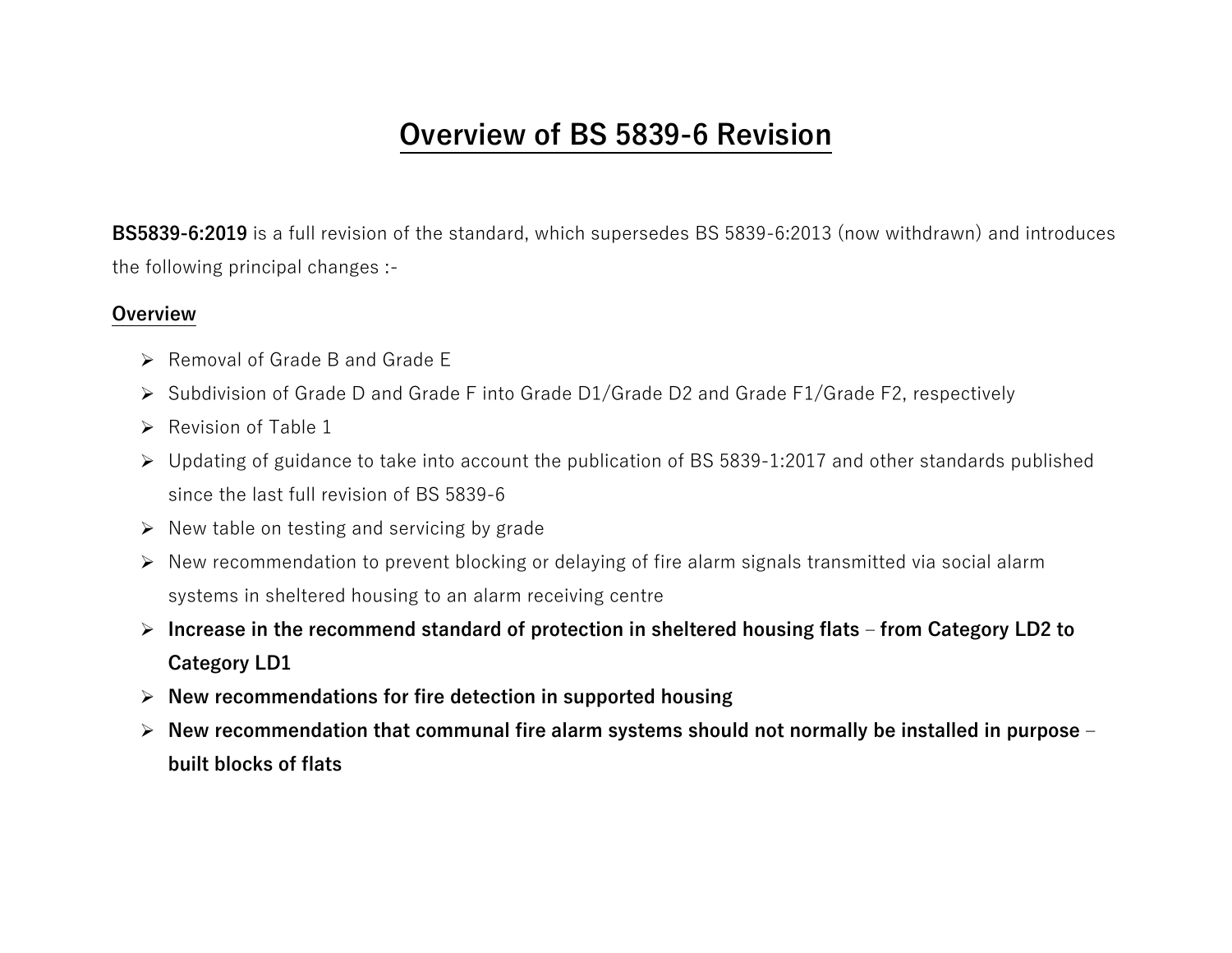# **Overview of BS 5839-6 Revision**

**BS5839-6:2019** is a full revision of the standard, which supersedes BS 5839-6:2013 (now withdrawn) and introduces the following principal changes :-

#### **Overview**

- ➢ Removal of Grade B and Grade E
- ➢ Subdivision of Grade D and Grade F into Grade D1/Grade D2 and Grade F1/Grade F2, respectively
- $\triangleright$  Revision of Table 1
- ➢ Updating of guidance to take into account the publication of BS 5839-1:2017 and other standards published since the last full revision of BS 5839-6
- $\triangleright$  New table on testing and servicing by grade
- ➢ New recommendation to prevent blocking or delaying of fire alarm signals transmitted via social alarm systems in sheltered housing to an alarm receiving centre
- ➢ **Increase in the recommend standard of protection in sheltered housing flats – from Category LD2 to Category LD1**
- ➢ **New recommendations for fire detection in supported housing**
- ➢ **New recommendation that communal fire alarm systems should not normally be installed in purpose – built blocks of flats**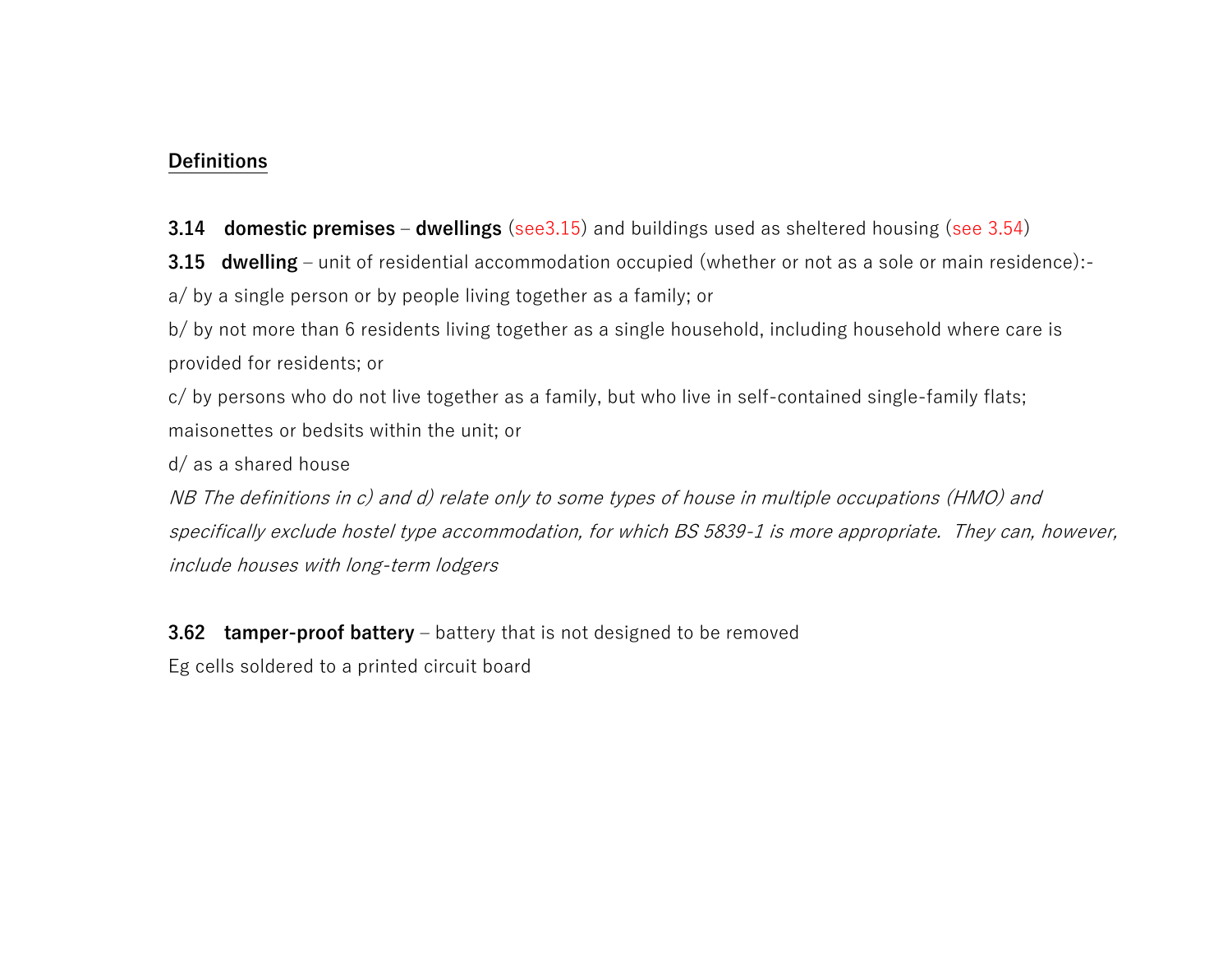### **Definitions**

**3.14 domestic premises** – **dwellings** (see3.15) and buildings used as sheltered housing (see 3.54)

**3.15 dwelling** – unit of residential accommodation occupied (whether or not as a sole or main residence): a/ by a single person or by people living together as a family; or

b/ by not more than 6 residents living together as a single household, including household where care is provided for residents; or

c/ by persons who do not live together as a family, but who live in self-contained single-family flats; maisonettes or bedsits within the unit; or

d/ as a shared house

NB The definitions in c) and d) relate only to some types of house in multiple occupations (HMO) and specifically exclude hostel type accommodation, for which BS 5839-1 is more appropriate. They can, however, include houses with long-term lodgers

**3.62 tamper-proof battery** – battery that is not designed to be removed

Eg cells soldered to a printed circuit board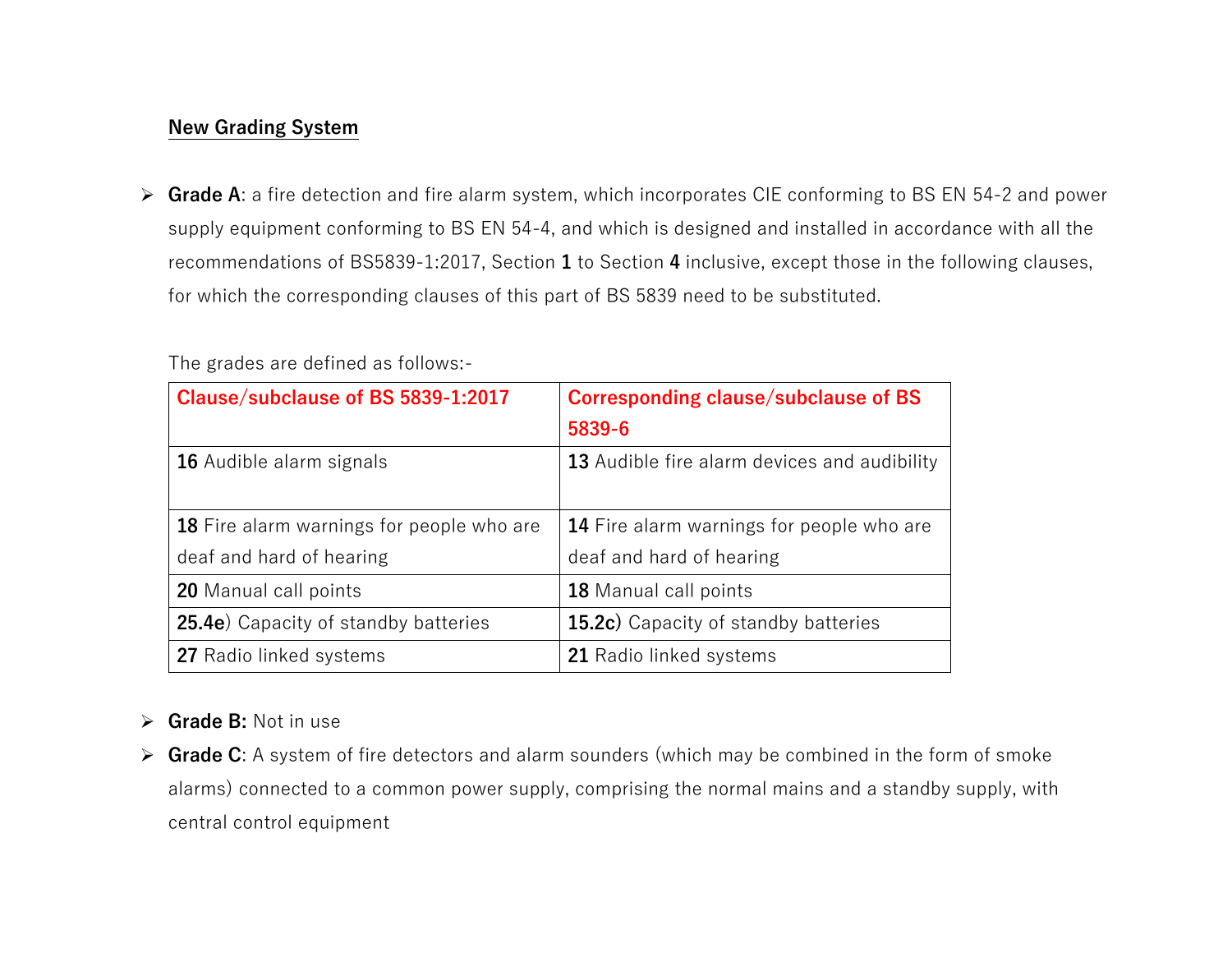# **New Grading System**

➢ **Grade A**: a fire detection and fire alarm system, which incorporates CIE conforming to BS EN 54-2 and power supply equipment conforming to BS EN 54-4, and which is designed and installed in accordance with all the recommendations of BS5839-1:2017, Section **1** to Section **4** inclusive, except those in the following clauses, for which the corresponding clauses of this part of BS 5839 need to be substituted.

| Clause/subclause of BS 5839-1:2017           | Corresponding clause/subclause of BS         |  |  |
|----------------------------------------------|----------------------------------------------|--|--|
|                                              | 5839-6                                       |  |  |
| 16 Audible alarm signals                     | 13 Audible fire alarm devices and audibility |  |  |
|                                              |                                              |  |  |
| 18 Fire alarm warnings for people who are    | 14 Fire alarm warnings for people who are    |  |  |
| deaf and hard of hearing                     | deaf and hard of hearing                     |  |  |
| <b>20</b> Manual call points                 | <b>18</b> Manual call points                 |  |  |
| <b>25.4e</b> ) Capacity of standby batteries | <b>15.2c)</b> Capacity of standby batteries  |  |  |
| 27 Radio linked systems                      | 21 Radio linked systems                      |  |  |

The grades are defined as follows:-

# ➢ **Grade B:** Not in use

➢ **Grade C**: A system of fire detectors and alarm sounders (which may be combined in the form of smoke alarms) connected to a common power supply, comprising the normal mains and a standby supply, with central control equipment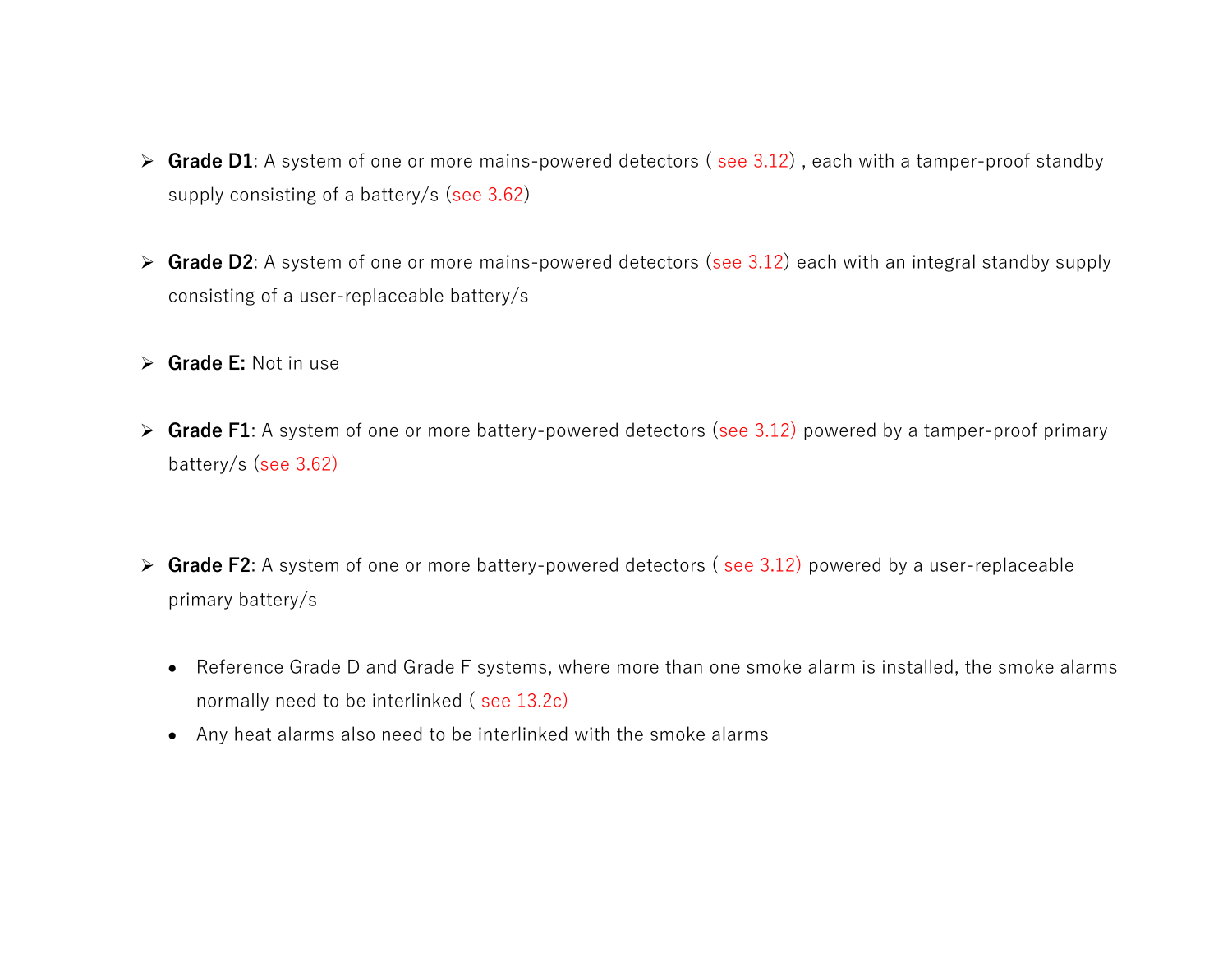- ➢ **Grade D1**: A system of one or more mains-powered detectors ( see 3.12) , each with a tamper-proof standby supply consisting of a battery/s (see 3.62)
- ➢ **Grade D2**: A system of one or more mains-powered detectors (see 3.12) each with an integral standby supply consisting of a user-replaceable battery/s
- ➢ **Grade E:** Not in use
- ➢ **Grade F1**: A system of one or more battery-powered detectors (see 3.12) powered by a tamper-proof primary battery/s (see 3.62)
- ➢ **Grade F2**: A system of one or more battery-powered detectors ( see 3.12) powered by a user-replaceable primary battery/s
	- Reference Grade D and Grade F systems, where more than one smoke alarm is installed, the smoke alarms normally need to be interlinked ( see 13.2c)
	- Any heat alarms also need to be interlinked with the smoke alarms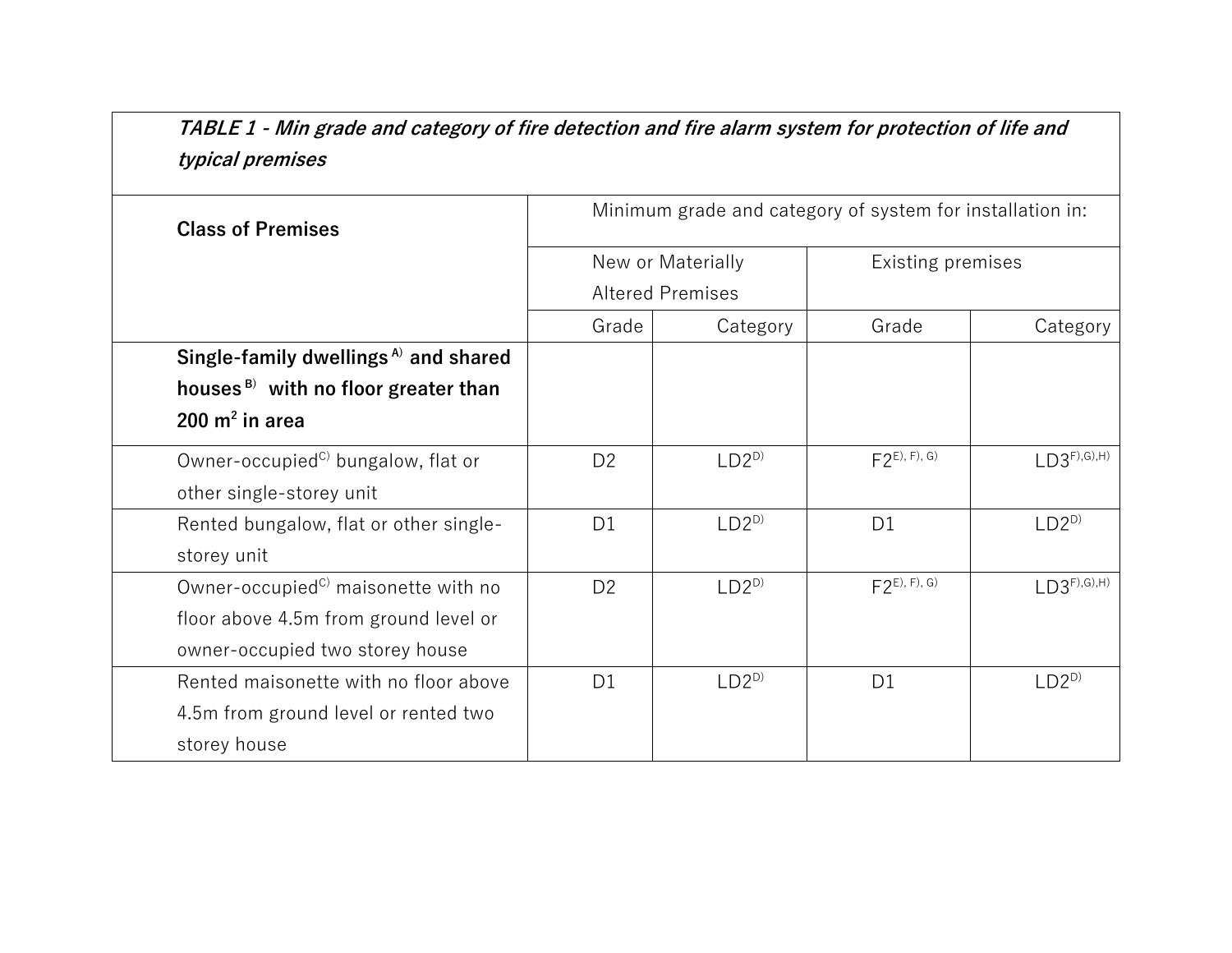**TABLE 1 - Min grade and category of fire detection and fire alarm system for protection of life and typical premises**

| <b>Class of Premises</b>                        | Minimum grade and category of system for installation in: |           |                   |                    |
|-------------------------------------------------|-----------------------------------------------------------|-----------|-------------------|--------------------|
|                                                 | New or Materially                                         |           | Existing premises |                    |
|                                                 | <b>Altered Premises</b>                                   |           |                   |                    |
|                                                 | Grade                                                     | Category  |                   | Category           |
| Single-family dwellings <sup>A</sup> and shared |                                                           |           |                   |                    |
| houses $B$ with no floor greater than           |                                                           |           |                   |                    |
| 200 $m2$ in area                                |                                                           |           |                   |                    |
| Owner-occupied <sup>c)</sup> bungalow, flat or  | D <sub>2</sub>                                            | $LD2^{D}$ | $F2^{E, F, G}$    | $LD3^{F),(G),(H)}$ |
| other single-storey unit                        |                                                           |           |                   |                    |
| Rented bungalow, flat or other single-          | D <sub>1</sub>                                            | $LD2^{D}$ | D <sub>1</sub>    | $LD2^{D}$          |
| storey unit                                     |                                                           |           |                   |                    |
| Owner-occupied <sup>c)</sup> maisonette with no | D <sub>2</sub>                                            | $LD2^{D}$ | $F2^{E, F, G}$    | $LD3^{F),(G),(H)}$ |
| floor above 4.5m from ground level or           |                                                           |           |                   |                    |
| owner-occupied two storey house                 |                                                           |           |                   |                    |
| Rented maisonette with no floor above           | D <sub>1</sub>                                            | $LD2^{D}$ | D <sub>1</sub>    | $LD2^{D}$          |
| 4.5m from ground level or rented two            |                                                           |           |                   |                    |
| storey house                                    |                                                           |           |                   |                    |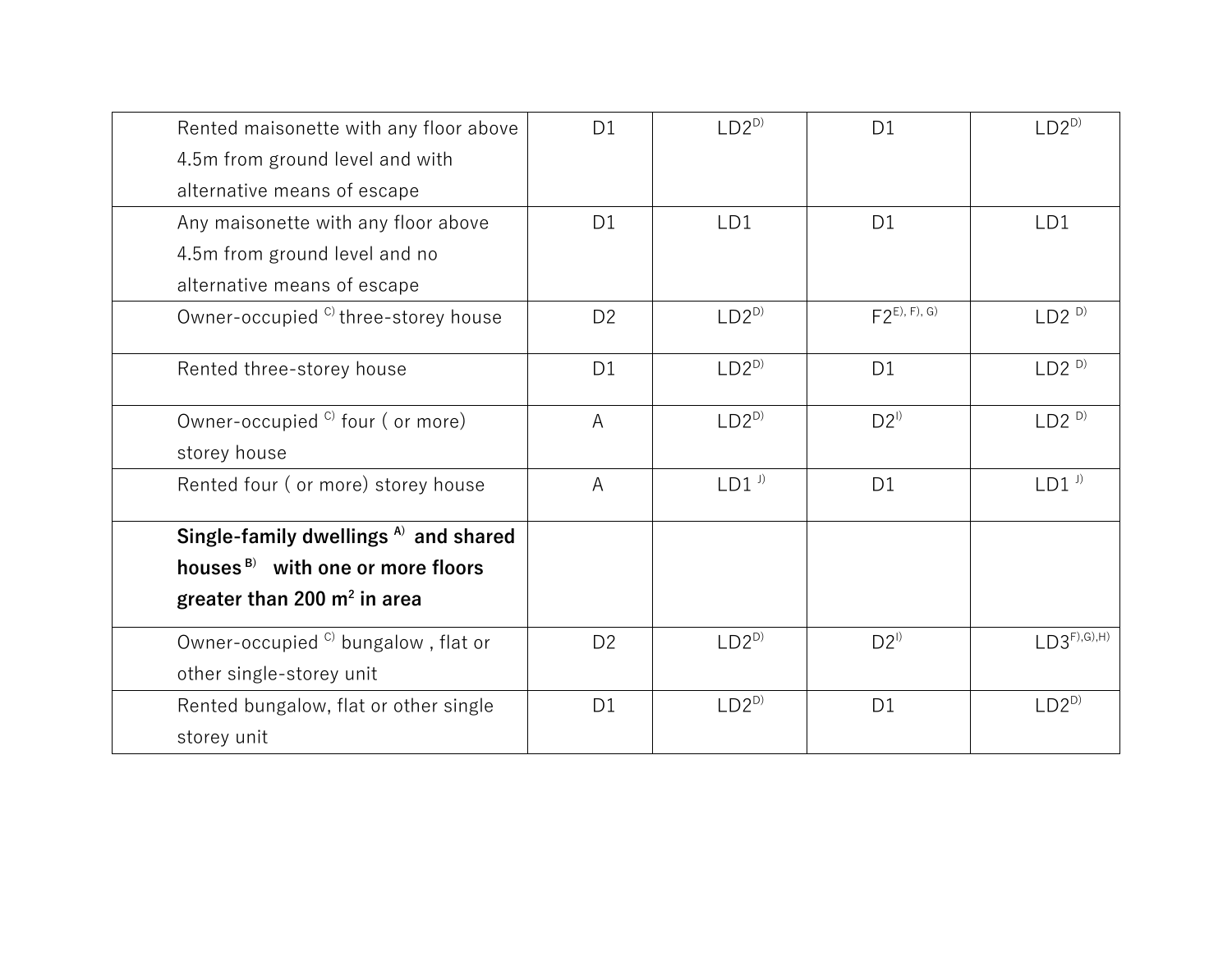| Rented maisonette with any floor above         | D <sub>1</sub> | $LD2^{D}$           | D <sub>1</sub> | $LD2^{D}$           |
|------------------------------------------------|----------------|---------------------|----------------|---------------------|
| 4.5m from ground level and with                |                |                     |                |                     |
| alternative means of escape                    |                |                     |                |                     |
| Any maisonette with any floor above            | D1             | LD1                 | D <sub>1</sub> | LD1                 |
| 4.5m from ground level and no                  |                |                     |                |                     |
| alternative means of escape                    |                |                     |                |                     |
| Owner-occupied <sup>c</sup> three-storey house | D <sub>2</sub> | $LD2^{D}$           | $F2^{E, F, G}$ | $LD2^{D}$           |
| Rented three-storey house                      | D <sub>1</sub> | $LD2^{D}$           | D <sub>1</sub> | LD2 <sup>D</sup>    |
| Owner-occupied <sup>C</sup> four (or more)     | A              | $LD2^{D}$           | $D2^{1}$       | LD2 <sup>D</sup>    |
| storey house                                   |                |                     |                |                     |
| Rented four (or more) storey house             | A              | $LD1$ <sup>J)</sup> | D <sub>1</sub> | $LD1$ <sup>J)</sup> |
| Single-family dwellings $A$ and shared         |                |                     |                |                     |
| houses <sup>B</sup> with one or more floors    |                |                     |                |                     |
| greater than 200 $m^2$ in area                 |                |                     |                |                     |
| Owner-occupied <sup>c</sup> bungalow, flat or  | D <sub>2</sub> | $LD2^{D}$           | $D2^{1}$       | $LD3^{F),(G),(H)}$  |
| other single-storey unit                       |                |                     |                |                     |
| Rented bungalow, flat or other single          | D <sub>1</sub> | $LD2^{D}$           | D <sub>1</sub> | $LD2^{D}$           |
| storey unit                                    |                |                     |                |                     |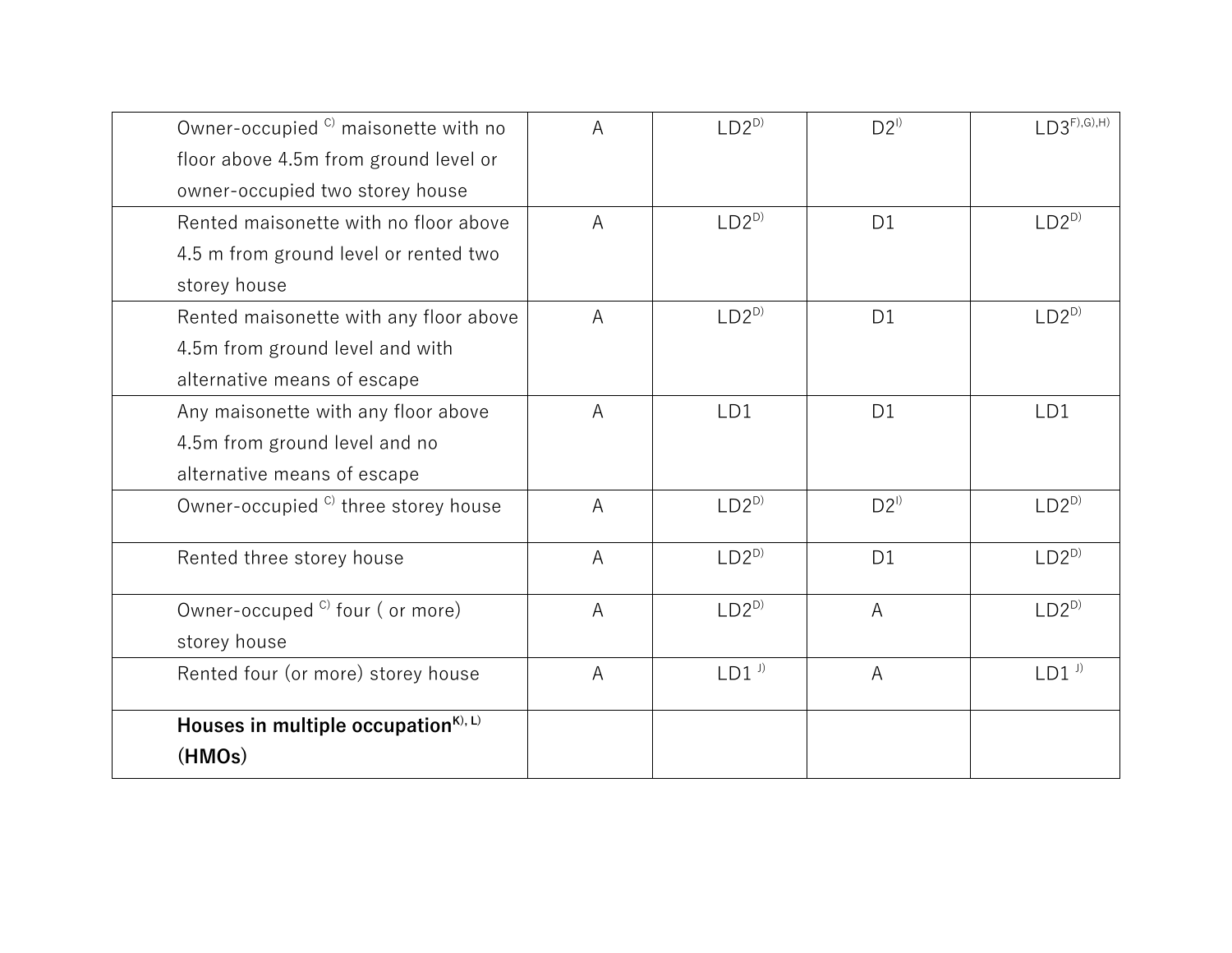| Owner-occupied <sup>c)</sup> maisonette with no | A | $LD2^{D}$           | $D2^{1}$       | $LD3^{F), (G), H)}$ |
|-------------------------------------------------|---|---------------------|----------------|---------------------|
| floor above 4.5m from ground level or           |   |                     |                |                     |
| owner-occupied two storey house                 |   |                     |                |                     |
| Rented maisonette with no floor above           | A | $LD2^{D}$           | D <sub>1</sub> | $LD2^{D}$           |
| 4.5 m from ground level or rented two           |   |                     |                |                     |
| storey house                                    |   |                     |                |                     |
| Rented maisonette with any floor above          | A | $LD2^{D}$           | D <sub>1</sub> | $LD2^{D}$           |
| 4.5m from ground level and with                 |   |                     |                |                     |
| alternative means of escape                     |   |                     |                |                     |
| Any maisonette with any floor above             | A | LD1                 | D <sub>1</sub> | LD1                 |
| 4.5m from ground level and no                   |   |                     |                |                     |
| alternative means of escape                     |   |                     |                |                     |
| Owner-occupied <sup>c)</sup> three storey house | A | $LD2^{D}$           | $D2^{1}$       | $LD2^{D}$           |
| Rented three storey house                       | A | $LD2^{D}$           | D <sub>1</sub> | $LD2^{D}$           |
| Owner-occuped <sup>c)</sup> four (or more)      | A | $LD2^{D}$           | A              | $LD2^{D}$           |
| storey house                                    |   |                     |                |                     |
| Rented four (or more) storey house              | A | $LD1$ <sup>J)</sup> | $\overline{A}$ | $LD1$ <sup>J)</sup> |
| Houses in multiple occupation $K$ , L)          |   |                     |                |                     |
| (HMOs)                                          |   |                     |                |                     |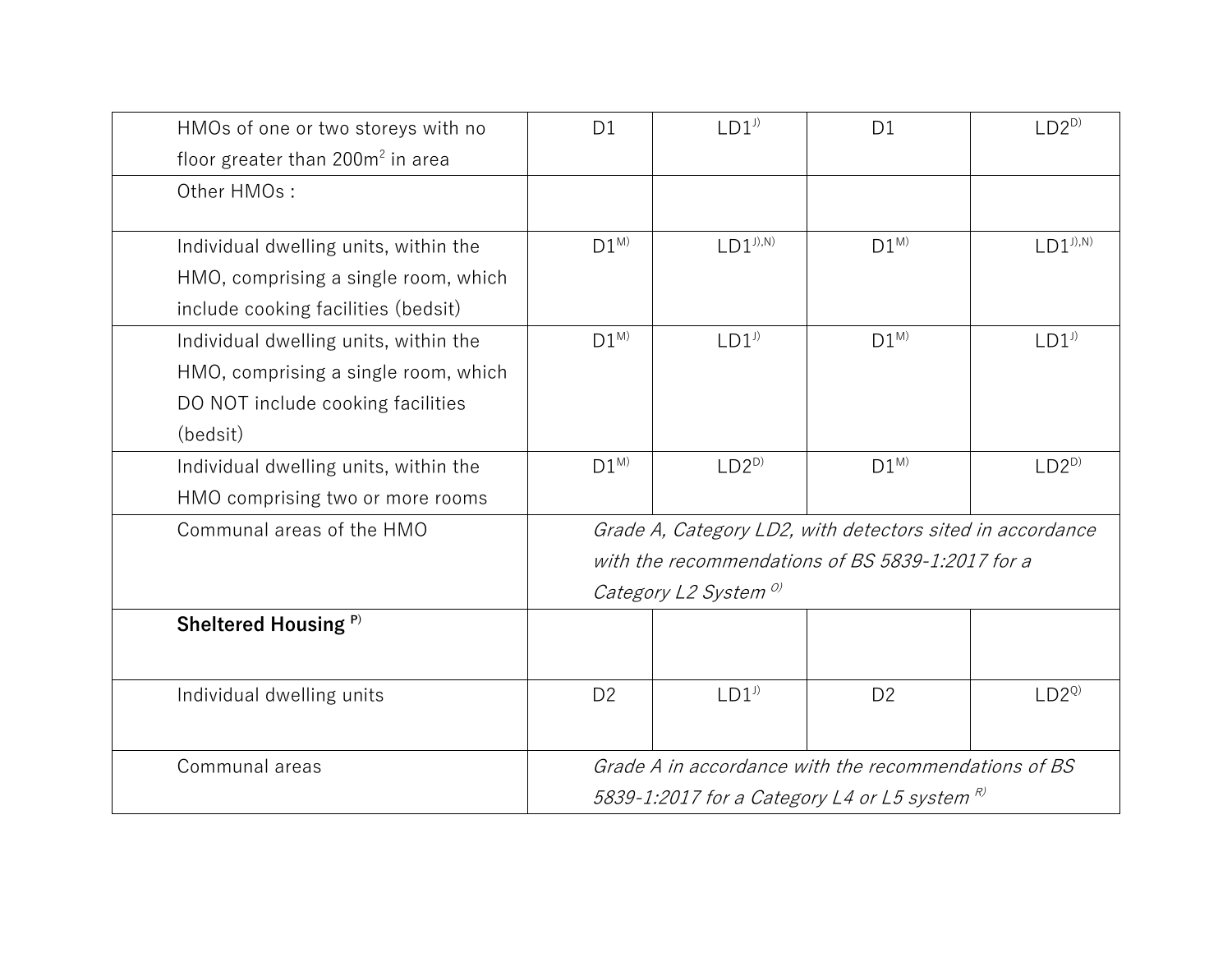| HMOs of one or two storeys with no           | D <sub>1</sub>                                                         | $LD1$ <sup><math>J)</math></sup> | D <sub>1</sub> | $LD2^{D}$           |
|----------------------------------------------|------------------------------------------------------------------------|----------------------------------|----------------|---------------------|
| floor greater than 200m <sup>2</sup> in area |                                                                        |                                  |                |                     |
| Other HMOs:                                  |                                                                        |                                  |                |                     |
|                                              |                                                                        |                                  |                |                     |
| Individual dwelling units, within the        | $D1^{M}$                                                               | $LD1^{J),N}$                     | $D1^{M}$       | $LD1^{J),N}$        |
| HMO, comprising a single room, which         |                                                                        |                                  |                |                     |
| include cooking facilities (bedsit)          |                                                                        |                                  |                |                     |
| Individual dwelling units, within the        | $D1^{M}$                                                               | $LD1$ <sup>J)</sup>              | $D1^{M}$       | $LD1$ <sup>J)</sup> |
| HMO, comprising a single room, which         |                                                                        |                                  |                |                     |
| DO NOT include cooking facilities            |                                                                        |                                  |                |                     |
| (bedsit)                                     |                                                                        |                                  |                |                     |
| Individual dwelling units, within the        | $D1^{M}$                                                               | $LD2^{D}$                        | $D1^{M}$       | $LD2^{D}$           |
| HMO comprising two or more rooms             |                                                                        |                                  |                |                     |
| Communal areas of the HMO                    | Grade A, Category LD2, with detectors sited in accordance              |                                  |                |                     |
|                                              | with the recommendations of BS 5839-1:2017 for a                       |                                  |                |                     |
|                                              | Category L2 System <sup>o)</sup>                                       |                                  |                |                     |
| Sheltered Housing <sup>P)</sup>              |                                                                        |                                  |                |                     |
|                                              |                                                                        |                                  |                |                     |
| Individual dwelling units                    | D <sub>2</sub>                                                         | $LD1$ <sup>J)</sup>              | D <sub>2</sub> | $LD2^{Q}$           |
|                                              |                                                                        |                                  |                |                     |
| Communal areas                               | Grade A in accordance with the recommendations of BS                   |                                  |                |                     |
|                                              | 5839-1:2017 for a Category L4 or L5 system $^{\text{\textregistered}}$ |                                  |                |                     |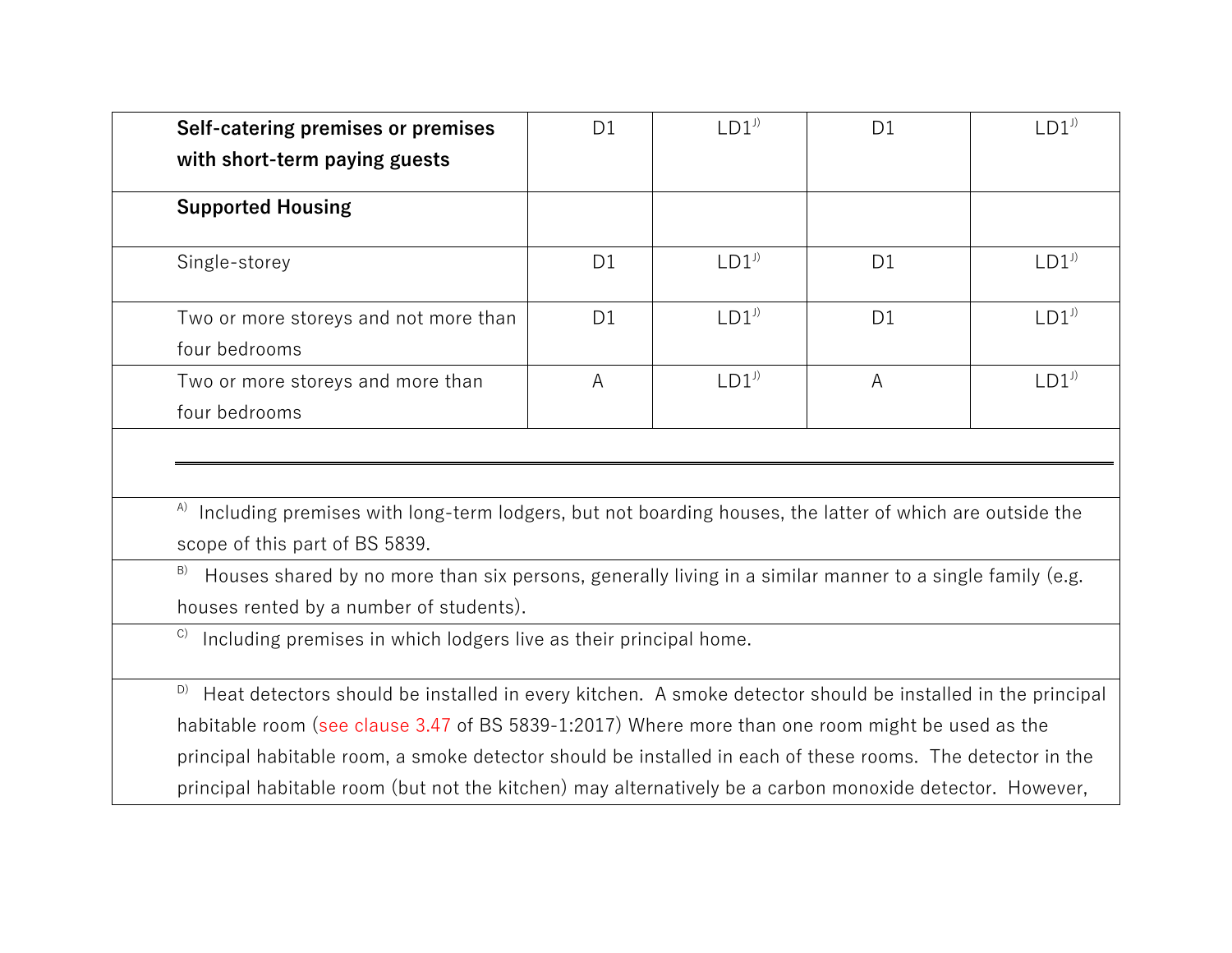| Self-catering premises or premises                                                                                                                                                                                                                                                                              | D1             | $LD1$ <sup><math>J</math></sup> | D <sub>1</sub> | $LD1$ <sup><math>J</math></sup> |
|-----------------------------------------------------------------------------------------------------------------------------------------------------------------------------------------------------------------------------------------------------------------------------------------------------------------|----------------|---------------------------------|----------------|---------------------------------|
| with short-term paying guests                                                                                                                                                                                                                                                                                   |                |                                 |                |                                 |
| <b>Supported Housing</b>                                                                                                                                                                                                                                                                                        |                |                                 |                |                                 |
| Single-storey                                                                                                                                                                                                                                                                                                   | D <sub>1</sub> | $LD1$ <sup>J)</sup>             | D <sub>1</sub> | $LD1$ <sup><math>)</math></sup> |
| Two or more storeys and not more than                                                                                                                                                                                                                                                                           | D <sub>1</sub> | $LD1$ <sup>J)</sup>             | D <sub>1</sub> | $LD1$ <sup><math>J</math></sup> |
| four bedrooms                                                                                                                                                                                                                                                                                                   |                |                                 |                |                                 |
| Two or more storeys and more than                                                                                                                                                                                                                                                                               | A              | $LD1$ <sup>J)</sup>             | A              | $LD1$ <sup>J)</sup>             |
| four bedrooms                                                                                                                                                                                                                                                                                                   |                |                                 |                |                                 |
| $\alpha$ Including premises with long-term lodgers, but not boarding houses, the latter of which are outside the<br>scope of this part of BS 5839.<br>B)<br>Houses shared by no more than six persons, generally living in a similar manner to a single family (e.g.<br>houses rented by a number of students). |                |                                 |                |                                 |
| C)<br>Including premises in which lodgers live as their principal home.                                                                                                                                                                                                                                         |                |                                 |                |                                 |
| D)<br>Heat detectors should be installed in every kitchen. A smoke detector should be installed in the principal                                                                                                                                                                                                |                |                                 |                |                                 |
| habitable room (see clause 3.47 of BS 5839-1:2017) Where more than one room might be used as the                                                                                                                                                                                                                |                |                                 |                |                                 |
| principal habitable room, a smoke detector should be installed in each of these rooms. The detector in the                                                                                                                                                                                                      |                |                                 |                |                                 |
| principal habitable room (but not the kitchen) may alternatively be a carbon monoxide detector. However,                                                                                                                                                                                                        |                |                                 |                |                                 |
|                                                                                                                                                                                                                                                                                                                 |                |                                 |                |                                 |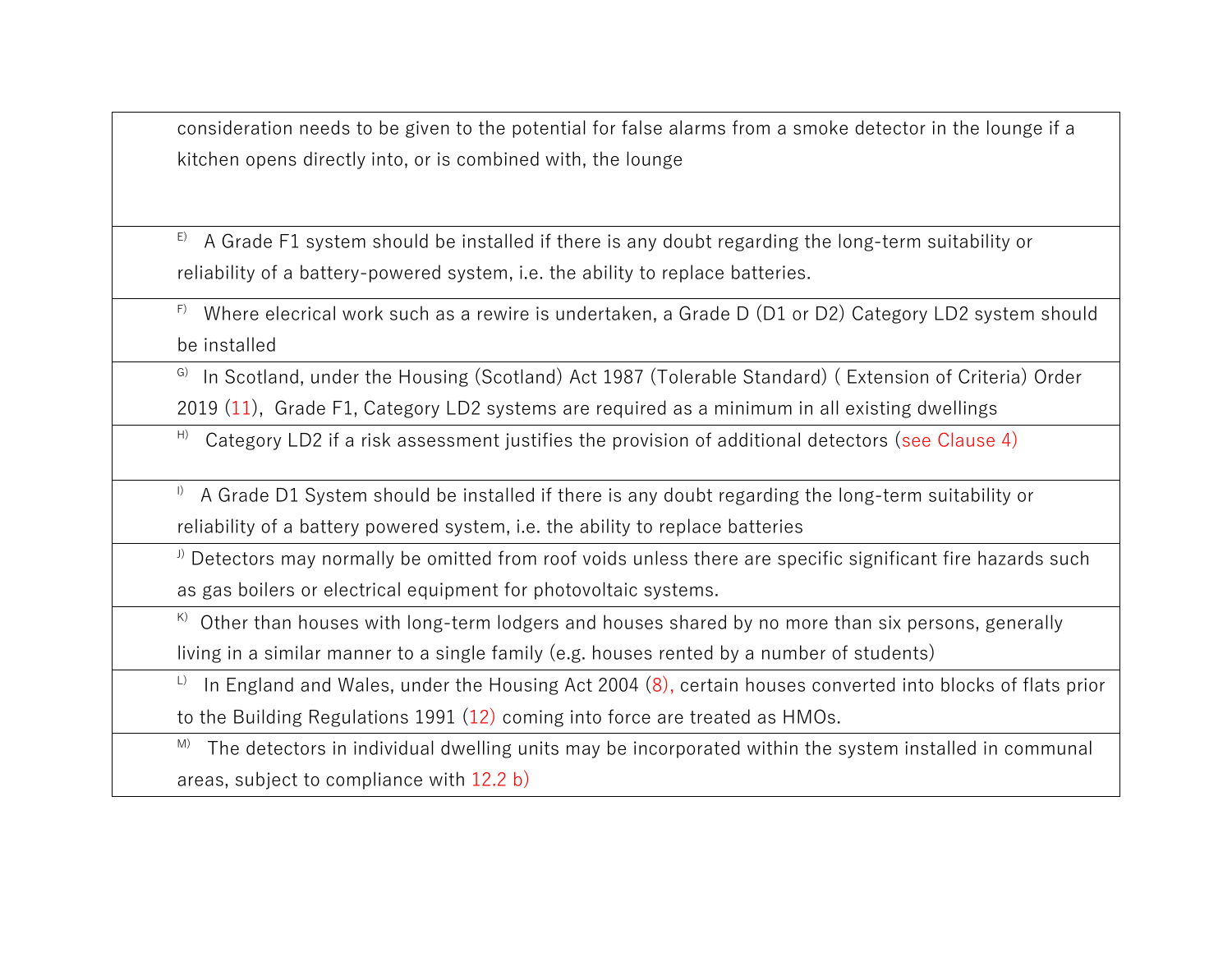consideration needs to be given to the potential for false alarms from a smoke detector in the lounge if a kitchen opens directly into, or is combined with, the lounge

 $E$ ) A Grade F1 system should be installed if there is any doubt regarding the long-term suitability or reliability of a battery-powered system, i.e. the ability to replace batteries.

 $F$ ) Where elecrical work such as a rewire is undertaken, a Grade D (D1 or D2) Category LD2 system should be installed

<sup>G)</sup> In Scotland, under the Housing (Scotland) Act 1987 (Tolerable Standard) (Extension of Criteria) Order

2019 (11), Grade F1, Category LD2 systems are required as a minimum in all existing dwellings

 $H$ ) Category LD2 if a risk assessment justifies the provision of additional detectors (see Clause 4)

I) A Grade D1 System should be installed if there is any doubt regarding the long-term suitability or reliability of a battery powered system, i.e. the ability to replace batteries

<sup>J)</sup> Detectors may normally be omitted from roof voids unless there are specific significant fire hazards such as gas boilers or electrical equipment for photovoltaic systems.

 $\overline{K}$ ) Other than houses with long-term lodgers and houses shared by no more than six persons, generally

living in a similar manner to a single family (e.g. houses rented by a number of students)

 $L$ ) In England and Wales, under the Housing Act 2004 (8), certain houses converted into blocks of flats prior to the Building Regulations 1991 (12) coming into force are treated as HMOs.

M) The detectors in individual dwelling units may be incorporated within the system installed in communal areas, subject to compliance with 12.2 b)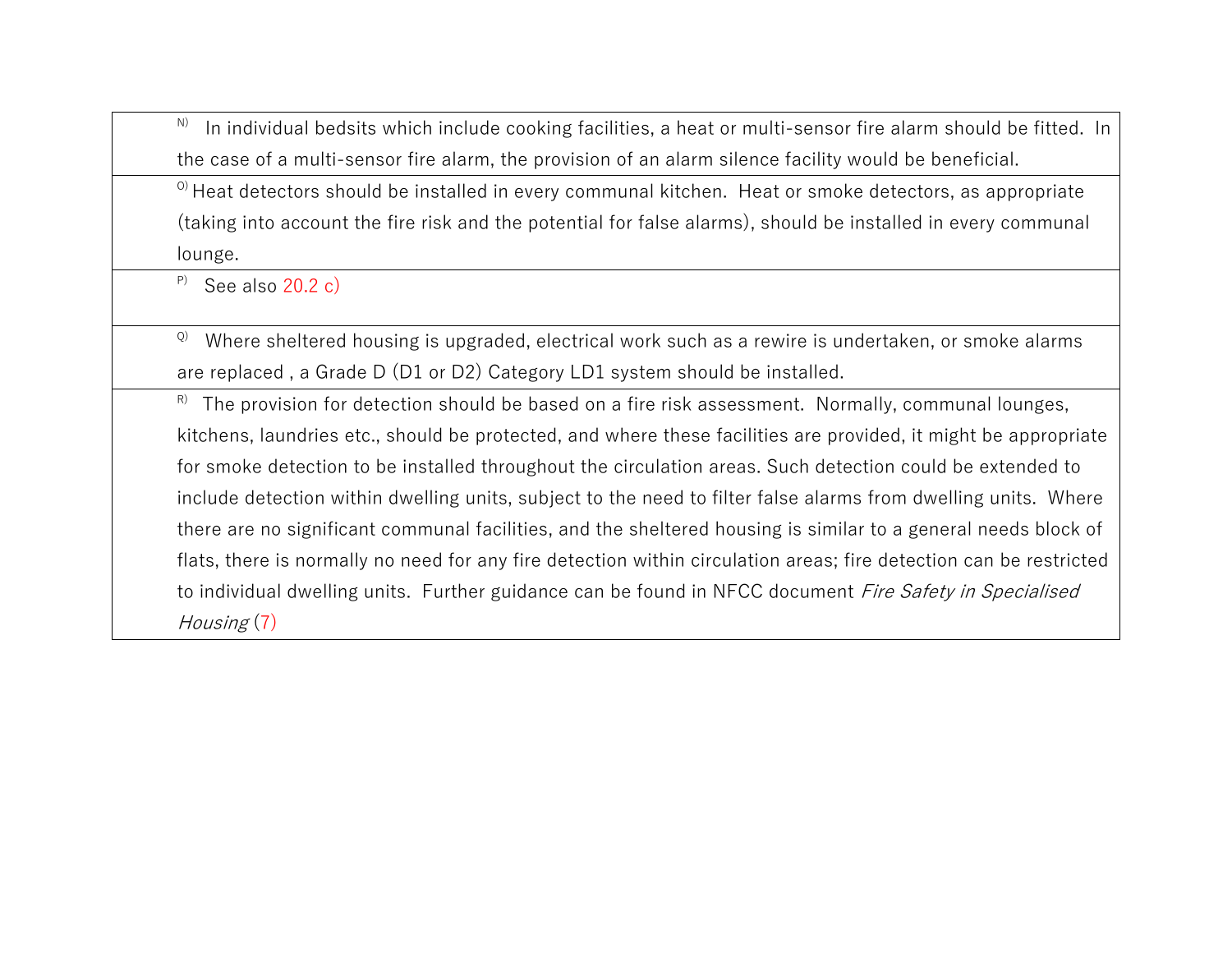N) In individual bedsits which include cooking facilities, a heat or multi-sensor fire alarm should be fitted. In the case of a multi-sensor fire alarm, the provision of an alarm silence facility would be beneficial.

 $\degree$ ) Heat detectors should be installed in every communal kitchen. Heat or smoke detectors, as appropriate (taking into account the fire risk and the potential for false alarms), should be installed in every communal lounge.

P) See also 20.2 c)

Q) Where sheltered housing is upgraded, electrical work such as a rewire is undertaken, or smoke alarms are replaced , a Grade D (D1 or D2) Category LD1 system should be installed.

 $R^{\circ}$  The provision for detection should be based on a fire risk assessment. Normally, communal lounges, kitchens, laundries etc., should be protected, and where these facilities are provided, it might be appropriate for smoke detection to be installed throughout the circulation areas. Such detection could be extended to include detection within dwelling units, subject to the need to filter false alarms from dwelling units. Where there are no significant communal facilities, and the sheltered housing is similar to a general needs block of flats, there is normally no need for any fire detection within circulation areas; fire detection can be restricted to individual dwelling units. Further guidance can be found in NFCC document Fire Safety in Specialised Housing (7)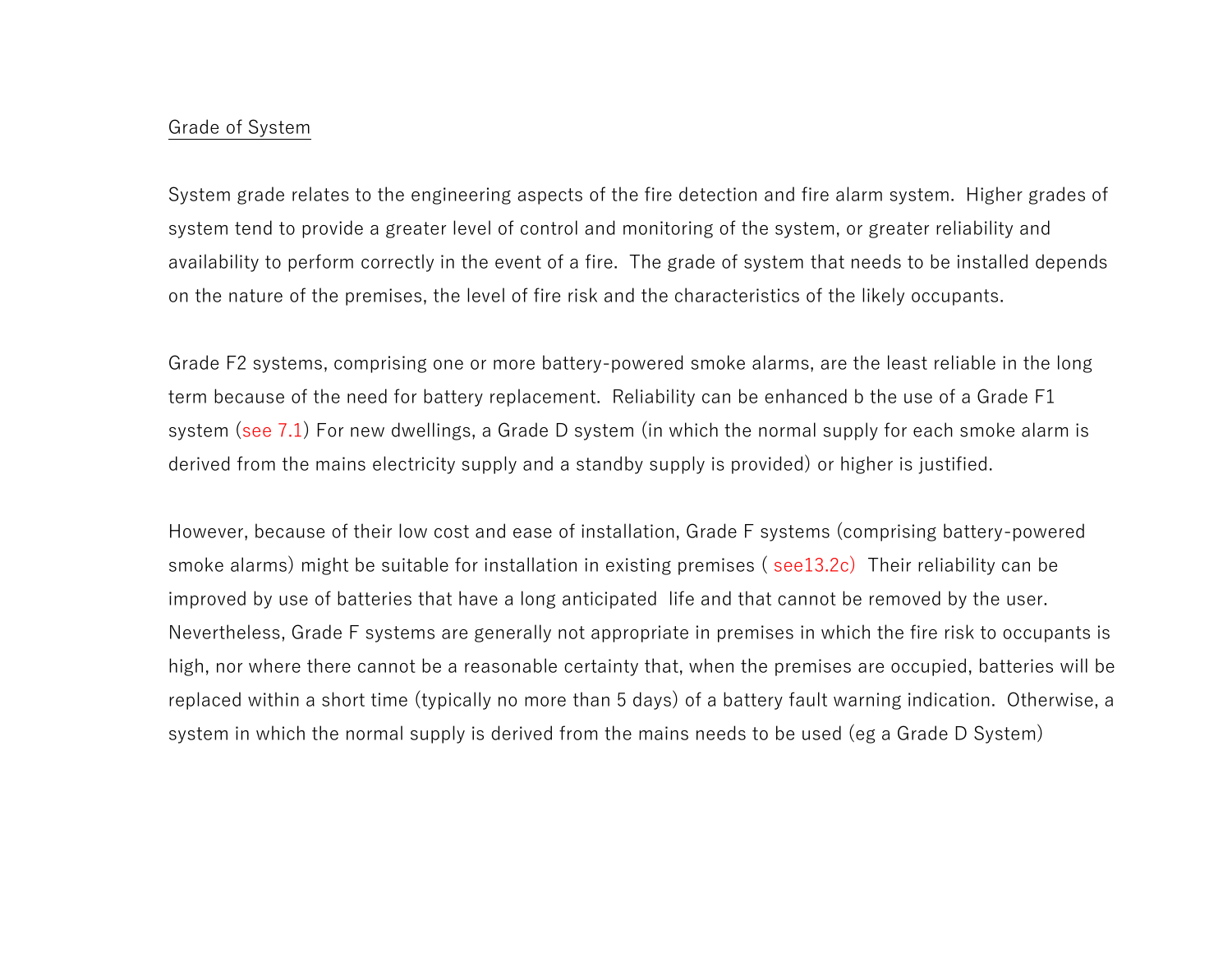#### Grade of System

System grade relates to the engineering aspects of the fire detection and fire alarm system. Higher grades of system tend to provide a greater level of control and monitoring of the system, or greater reliability and availability to perform correctly in the event of a fire. The grade of system that needs to be installed depends on the nature of the premises, the level of fire risk and the characteristics of the likely occupants.

Grade F2 systems, comprising one or more battery-powered smoke alarms, are the least reliable in the long term because of the need for battery replacement. Reliability can be enhanced b the use of a Grade F1 system (see 7.1) For new dwellings, a Grade D system (in which the normal supply for each smoke alarm is derived from the mains electricity supply and a standby supply is provided) or higher is justified.

However, because of their low cost and ease of installation, Grade F systems (comprising battery-powered smoke alarms) might be suitable for installation in existing premises (see13.2c) Their reliability can be improved by use of batteries that have a long anticipated life and that cannot be removed by the user. Nevertheless, Grade F systems are generally not appropriate in premises in which the fire risk to occupants is high, nor where there cannot be a reasonable certainty that, when the premises are occupied, batteries will be replaced within a short time (typically no more than 5 days) of a battery fault warning indication. Otherwise, a system in which the normal supply is derived from the mains needs to be used (eg a Grade D System)